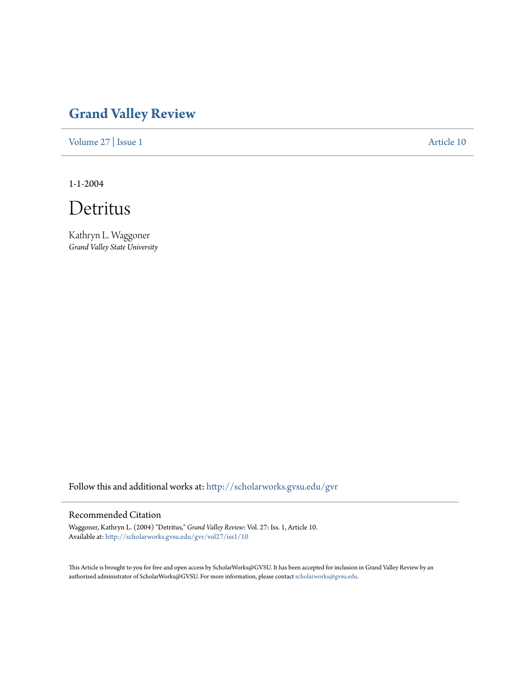## **[Grand Valley Review](http://scholarworks.gvsu.edu/gvr?utm_source=scholarworks.gvsu.edu%2Fgvr%2Fvol27%2Fiss1%2F10&utm_medium=PDF&utm_campaign=PDFCoverPages)**

[Volume 27](http://scholarworks.gvsu.edu/gvr/vol27?utm_source=scholarworks.gvsu.edu%2Fgvr%2Fvol27%2Fiss1%2F10&utm_medium=PDF&utm_campaign=PDFCoverPages) | [Issue 1](http://scholarworks.gvsu.edu/gvr/vol27/iss1?utm_source=scholarworks.gvsu.edu%2Fgvr%2Fvol27%2Fiss1%2F10&utm_medium=PDF&utm_campaign=PDFCoverPages) [Article 10](http://scholarworks.gvsu.edu/gvr/vol27/iss1/10?utm_source=scholarworks.gvsu.edu%2Fgvr%2Fvol27%2Fiss1%2F10&utm_medium=PDF&utm_campaign=PDFCoverPages)

1-1-2004



Kathryn L. Waggoner *Grand Valley State University*

Follow this and additional works at: [http://scholarworks.gvsu.edu/gvr](http://scholarworks.gvsu.edu/gvr?utm_source=scholarworks.gvsu.edu%2Fgvr%2Fvol27%2Fiss1%2F10&utm_medium=PDF&utm_campaign=PDFCoverPages)

## Recommended Citation

Waggoner, Kathryn L. (2004) "Detritus," *Grand Valley Review*: Vol. 27: Iss. 1, Article 10. Available at: [http://scholarworks.gvsu.edu/gvr/vol27/iss1/10](http://scholarworks.gvsu.edu/gvr/vol27/iss1/10?utm_source=scholarworks.gvsu.edu%2Fgvr%2Fvol27%2Fiss1%2F10&utm_medium=PDF&utm_campaign=PDFCoverPages)

This Article is brought to you for free and open access by ScholarWorks@GVSU. It has been accepted for inclusion in Grand Valley Review by an authorized administrator of ScholarWorks@GVSU. For more information, please contact [scholarworks@gvsu.edu.](mailto:scholarworks@gvsu.edu)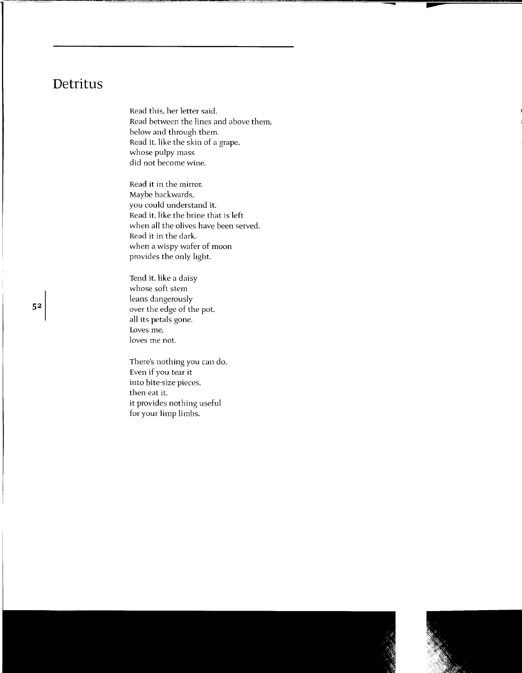## **Detritus**

Read this, her letter said. Read between the lines and above them, below and through them. Read it, like the skin of a grape, whose pulpy mass did not become wine.

Read it in the mirror. Maybe backwards, you could understand it. Read it. like the brine that is left when all the olives have been served. Read it in the dark. when a wispy wafer of moon provides the only light.

Tend it. like a daisy whose soft stem leans dangerously over the edge of the pot. all its petals gone. Loves me, loves me not.

There's nothing you can do. Even if you tear it into bite-size pieces, then eat it. it provides nothing useful for your limp limbs.